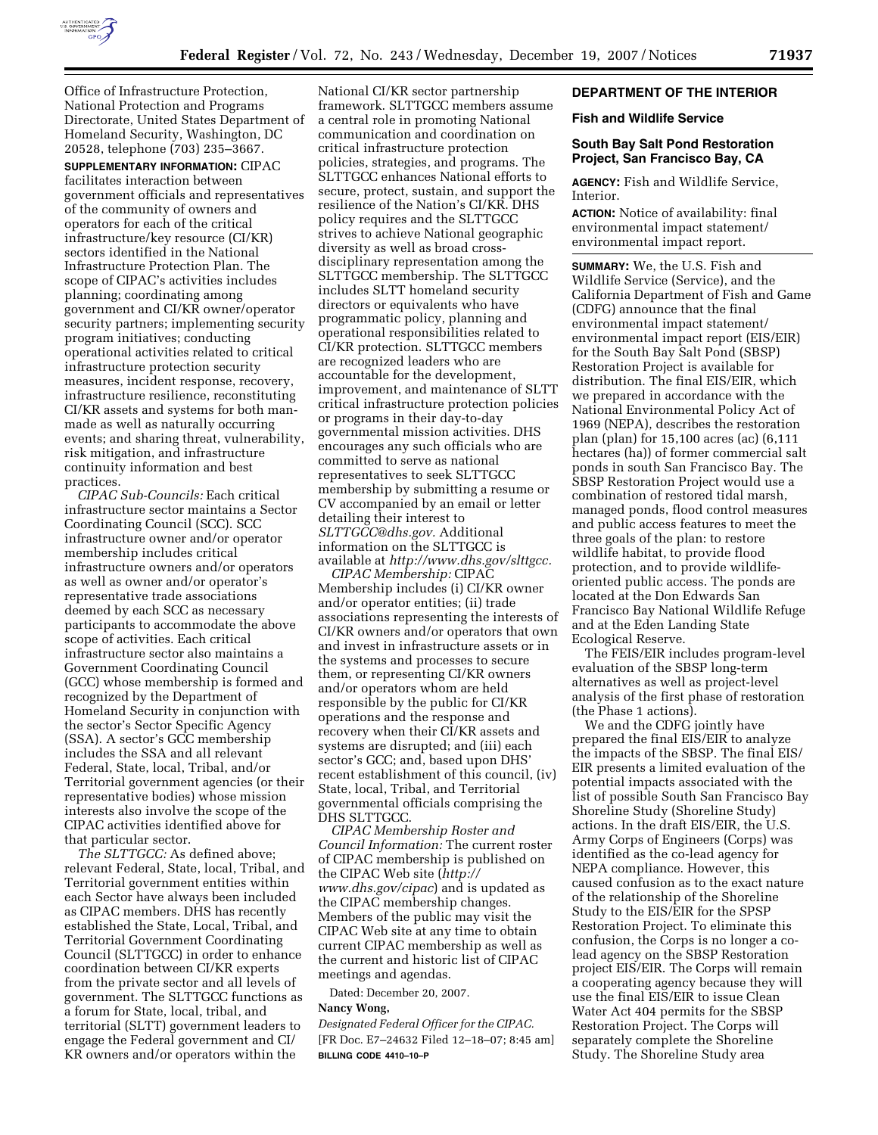

Office of Infrastructure Protection, National Protection and Programs Directorate, United States Department of Homeland Security, Washington, DC 20528, telephone (703) 235–3667.

**SUPPLEMENTARY INFORMATION:** CIPAC facilitates interaction between government officials and representatives of the community of owners and operators for each of the critical infrastructure/key resource (CI/KR) sectors identified in the National Infrastructure Protection Plan. The scope of CIPAC's activities includes planning; coordinating among government and CI/KR owner/operator security partners; implementing security program initiatives; conducting operational activities related to critical infrastructure protection security measures, incident response, recovery, infrastructure resilience, reconstituting CI/KR assets and systems for both manmade as well as naturally occurring events; and sharing threat, vulnerability, risk mitigation, and infrastructure continuity information and best practices.

*CIPAC Sub-Councils:* Each critical infrastructure sector maintains a Sector Coordinating Council (SCC). SCC infrastructure owner and/or operator membership includes critical infrastructure owners and/or operators as well as owner and/or operator's representative trade associations deemed by each SCC as necessary participants to accommodate the above scope of activities. Each critical infrastructure sector also maintains a Government Coordinating Council (GCC) whose membership is formed and recognized by the Department of Homeland Security in conjunction with the sector's Sector Specific Agency (SSA). A sector's GCC membership includes the SSA and all relevant Federal, State, local, Tribal, and/or Territorial government agencies (or their representative bodies) whose mission interests also involve the scope of the CIPAC activities identified above for that particular sector.

*The SLTTGCC:* As defined above; relevant Federal, State, local, Tribal, and Territorial government entities within each Sector have always been included as CIPAC members. DHS has recently established the State, Local, Tribal, and Territorial Government Coordinating Council (SLTTGCC) in order to enhance coordination between CI/KR experts from the private sector and all levels of government. The SLTTGCC functions as a forum for State, local, tribal, and territorial (SLTT) government leaders to engage the Federal government and CI/ KR owners and/or operators within the

National CI/KR sector partnership framework. SLTTGCC members assume a central role in promoting National communication and coordination on critical infrastructure protection policies, strategies, and programs. The SLTTGCC enhances National efforts to secure, protect, sustain, and support the resilience of the Nation's CI/KR. DHS policy requires and the SLTTGCC strives to achieve National geographic diversity as well as broad crossdisciplinary representation among the SLTTGCC membership. The SLTTGCC includes SLTT homeland security directors or equivalents who have programmatic policy, planning and operational responsibilities related to CI/KR protection. SLTTGCC members are recognized leaders who are accountable for the development, improvement, and maintenance of SLTT critical infrastructure protection policies or programs in their day-to-day governmental mission activities. DHS encourages any such officials who are committed to serve as national representatives to seek SLTTGCC membership by submitting a resume or CV accompanied by an email or letter detailing their interest to *SLTTGCC@dhs.gov.* Additional information on the SLTTGCC is available at *http://www.dhs.gov/slttgcc.* 

*CIPAC Membership:* CIPAC Membership includes (i) CI/KR owner and/or operator entities; (ii) trade associations representing the interests of CI/KR owners and/or operators that own and invest in infrastructure assets or in the systems and processes to secure them, or representing CI/KR owners and/or operators whom are held responsible by the public for CI/KR operations and the response and recovery when their CI/KR assets and systems are disrupted; and (iii) each sector's GCC; and, based upon DHS' recent establishment of this council, (iv) State, local, Tribal, and Territorial governmental officials comprising the DHS SLTTGCC.

*CIPAC Membership Roster and Council Information:* The current roster of CIPAC membership is published on the CIPAC Web site (*http:// www.dhs.gov/cipac*) and is updated as the CIPAC membership changes. Members of the public may visit the CIPAC Web site at any time to obtain current CIPAC membership as well as the current and historic list of CIPAC meetings and agendas.

Dated: December 20, 2007.

#### **Nancy Wong,**

*Designated Federal Officer for the CIPAC.*  [FR Doc. E7–24632 Filed 12–18–07; 8:45 am] **BILLING CODE 4410–10–P** 

## **DEPARTMENT OF THE INTERIOR**

#### **Fish and Wildlife Service**

## **South Bay Salt Pond Restoration Project, San Francisco Bay, CA**

**AGENCY:** Fish and Wildlife Service, Interior.

**ACTION:** Notice of availability: final environmental impact statement/ environmental impact report.

**SUMMARY:** We, the U.S. Fish and Wildlife Service (Service), and the California Department of Fish and Game (CDFG) announce that the final environmental impact statement/ environmental impact report (EIS/EIR) for the South Bay Salt Pond (SBSP) Restoration Project is available for distribution. The final EIS/EIR, which we prepared in accordance with the National Environmental Policy Act of 1969 (NEPA), describes the restoration plan (plan) for 15,100 acres (ac) (6,111 hectares (ha)) of former commercial salt ponds in south San Francisco Bay. The SBSP Restoration Project would use a combination of restored tidal marsh, managed ponds, flood control measures and public access features to meet the three goals of the plan: to restore wildlife habitat, to provide flood protection, and to provide wildlifeoriented public access. The ponds are located at the Don Edwards San Francisco Bay National Wildlife Refuge and at the Eden Landing State Ecological Reserve.

The FEIS/EIR includes program-level evaluation of the SBSP long-term alternatives as well as project-level analysis of the first phase of restoration (the Phase 1 actions).

We and the CDFG jointly have prepared the final EIS/EIR to analyze the impacts of the SBSP. The final EIS/ EIR presents a limited evaluation of the potential impacts associated with the list of possible South San Francisco Bay Shoreline Study (Shoreline Study) actions. In the draft EIS/EIR, the U.S. Army Corps of Engineers (Corps) was identified as the co-lead agency for NEPA compliance. However, this caused confusion as to the exact nature of the relationship of the Shoreline Study to the EIS/EIR for the SPSP Restoration Project. To eliminate this confusion, the Corps is no longer a colead agency on the SBSP Restoration project EIS/EIR. The Corps will remain a cooperating agency because they will use the final EIS/EIR to issue Clean Water Act 404 permits for the SBSP Restoration Project. The Corps will separately complete the Shoreline Study. The Shoreline Study area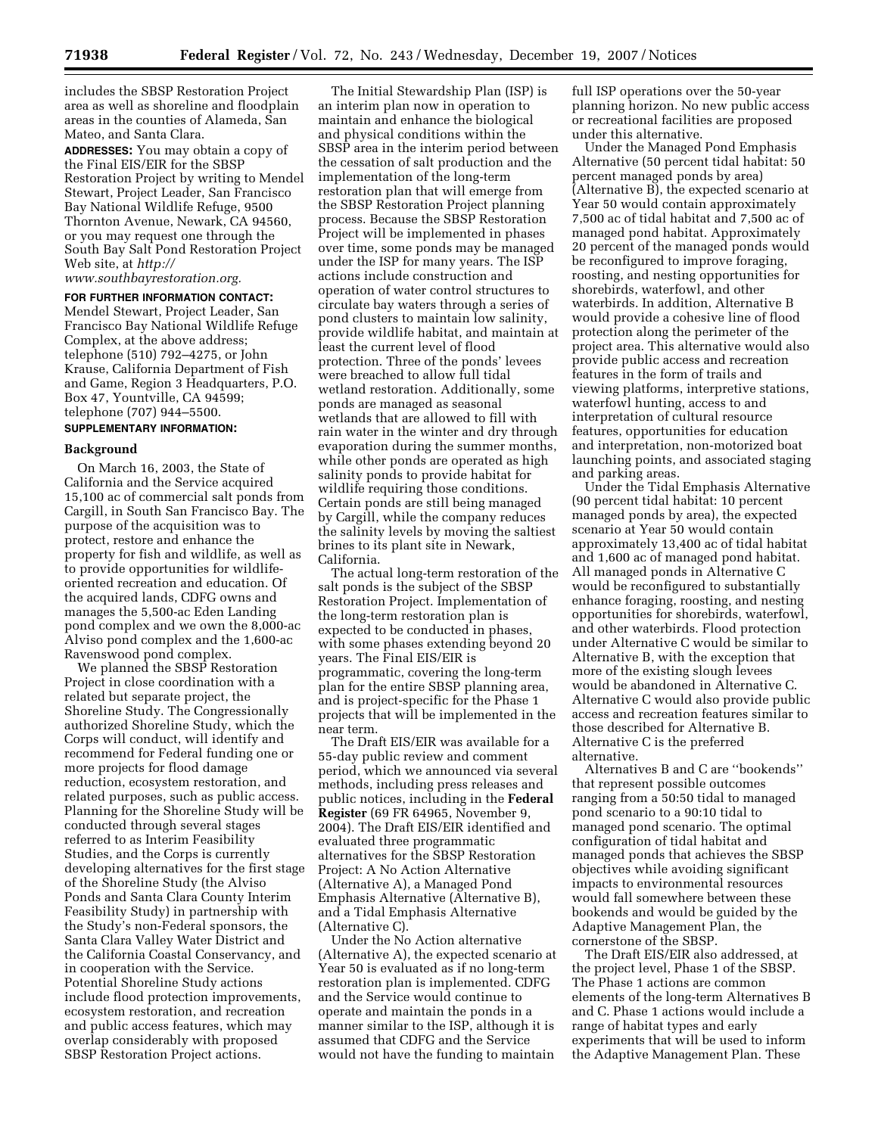includes the SBSP Restoration Project area as well as shoreline and floodplain areas in the counties of Alameda, San Mateo, and Santa Clara.

**ADDRESSES:** You may obtain a copy of the Final EIS/EIR for the SBSP Restoration Project by writing to Mendel Stewart, Project Leader, San Francisco Bay National Wildlife Refuge, 9500 Thornton Avenue, Newark, CA 94560, or you may request one through the South Bay Salt Pond Restoration Project Web site, at *http://* 

*www.southbayrestoration.org.* 

**FOR FURTHER INFORMATION CONTACT:**  Mendel Stewart, Project Leader, San Francisco Bay National Wildlife Refuge Complex, at the above address; telephone (510) 792–4275, or John Krause, California Department of Fish and Game, Region 3 Headquarters, P.O. Box 47, Yountville, CA 94599; telephone (707) 944–5500.

# **SUPPLEMENTARY INFORMATION:**

## **Background**

On March 16, 2003, the State of California and the Service acquired 15,100 ac of commercial salt ponds from Cargill, in South San Francisco Bay. The purpose of the acquisition was to protect, restore and enhance the property for fish and wildlife, as well as to provide opportunities for wildlifeoriented recreation and education. Of the acquired lands, CDFG owns and manages the 5,500-ac Eden Landing pond complex and we own the 8,000-ac Alviso pond complex and the 1,600-ac Ravenswood pond complex.

We planned the SBSP Restoration Project in close coordination with a related but separate project, the Shoreline Study. The Congressionally authorized Shoreline Study, which the Corps will conduct, will identify and recommend for Federal funding one or more projects for flood damage reduction, ecosystem restoration, and related purposes, such as public access. Planning for the Shoreline Study will be conducted through several stages referred to as Interim Feasibility Studies, and the Corps is currently developing alternatives for the first stage of the Shoreline Study (the Alviso Ponds and Santa Clara County Interim Feasibility Study) in partnership with the Study's non-Federal sponsors, the Santa Clara Valley Water District and the California Coastal Conservancy, and in cooperation with the Service. Potential Shoreline Study actions include flood protection improvements, ecosystem restoration, and recreation and public access features, which may overlap considerably with proposed SBSP Restoration Project actions.

The Initial Stewardship Plan (ISP) is an interim plan now in operation to maintain and enhance the biological and physical conditions within the SBSP area in the interim period between the cessation of salt production and the implementation of the long-term restoration plan that will emerge from the SBSP Restoration Project planning process. Because the SBSP Restoration Project will be implemented in phases over time, some ponds may be managed under the ISP for many years. The ISP actions include construction and operation of water control structures to circulate bay waters through a series of pond clusters to maintain low salinity, provide wildlife habitat, and maintain at least the current level of flood protection. Three of the ponds' levees were breached to allow full tidal wetland restoration. Additionally, some ponds are managed as seasonal wetlands that are allowed to fill with rain water in the winter and dry through evaporation during the summer months, while other ponds are operated as high salinity ponds to provide habitat for wildlife requiring those conditions. Certain ponds are still being managed by Cargill, while the company reduces the salinity levels by moving the saltiest brines to its plant site in Newark, California.

The actual long-term restoration of the salt ponds is the subject of the SBSP Restoration Project. Implementation of the long-term restoration plan is expected to be conducted in phases, with some phases extending beyond 20 years. The Final EIS/EIR is programmatic, covering the long-term plan for the entire SBSP planning area, and is project-specific for the Phase 1 projects that will be implemented in the near term.

The Draft EIS/EIR was available for a 55-day public review and comment period, which we announced via several methods, including press releases and public notices, including in the **Federal Register** (69 FR 64965, November 9, 2004). The Draft EIS/EIR identified and evaluated three programmatic alternatives for the SBSP Restoration Project: A No Action Alternative (Alternative A), a Managed Pond Emphasis Alternative (Alternative B), and a Tidal Emphasis Alternative (Alternative C).

Under the No Action alternative (Alternative A), the expected scenario at Year 50 is evaluated as if no long-term restoration plan is implemented. CDFG and the Service would continue to operate and maintain the ponds in a manner similar to the ISP, although it is assumed that CDFG and the Service would not have the funding to maintain

full ISP operations over the 50-year planning horizon. No new public access or recreational facilities are proposed under this alternative.

Under the Managed Pond Emphasis Alternative (50 percent tidal habitat: 50 percent managed ponds by area) (Alternative B), the expected scenario at Year 50 would contain approximately 7,500 ac of tidal habitat and 7,500 ac of managed pond habitat. Approximately 20 percent of the managed ponds would be reconfigured to improve foraging, roosting, and nesting opportunities for shorebirds, waterfowl, and other waterbirds. In addition, Alternative B would provide a cohesive line of flood protection along the perimeter of the project area. This alternative would also provide public access and recreation features in the form of trails and viewing platforms, interpretive stations, waterfowl hunting, access to and interpretation of cultural resource features, opportunities for education and interpretation, non-motorized boat launching points, and associated staging and parking areas.

Under the Tidal Emphasis Alternative (90 percent tidal habitat: 10 percent managed ponds by area), the expected scenario at Year 50 would contain approximately 13,400 ac of tidal habitat and 1,600 ac of managed pond habitat. All managed ponds in Alternative C would be reconfigured to substantially enhance foraging, roosting, and nesting opportunities for shorebirds, waterfowl, and other waterbirds. Flood protection under Alternative C would be similar to Alternative B, with the exception that more of the existing slough levees would be abandoned in Alternative C. Alternative C would also provide public access and recreation features similar to those described for Alternative B. Alternative C is the preferred alternative.

Alternatives B and C are ''bookends'' that represent possible outcomes ranging from a 50:50 tidal to managed pond scenario to a 90:10 tidal to managed pond scenario. The optimal configuration of tidal habitat and managed ponds that achieves the SBSP objectives while avoiding significant impacts to environmental resources would fall somewhere between these bookends and would be guided by the Adaptive Management Plan, the cornerstone of the SBSP.

The Draft EIS/EIR also addressed, at the project level, Phase 1 of the SBSP. The Phase 1 actions are common elements of the long-term Alternatives B and C. Phase 1 actions would include a range of habitat types and early experiments that will be used to inform the Adaptive Management Plan. These